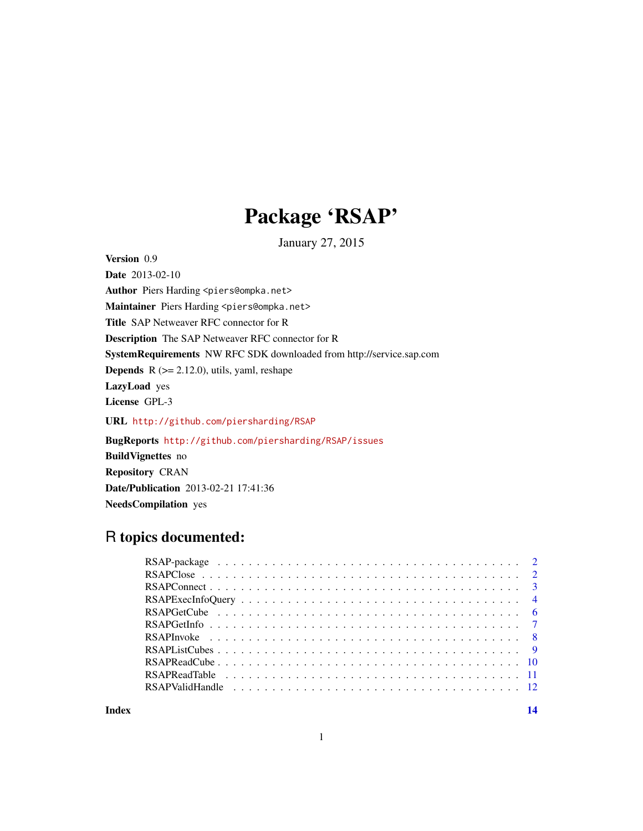## Package 'RSAP'

January 27, 2015

Date 2013-02-10 Author Piers Harding <piers@ompka.net> Maintainer Piers Harding <piers@ompka.net> Title SAP Netweaver RFC connector for R Description The SAP Netweaver RFC connector for R SystemRequirements NW RFC SDK downloaded from http://service.sap.com **Depends** R  $(>= 2.12.0)$ , utils, yaml, reshape LazyLoad yes License GPL-3 URL <http://github.com/piersharding/RSAP> BugReports <http://github.com/piersharding/RSAP/issues> BuildVignettes no

Repository CRAN Date/Publication 2013-02-21 17:41:36 NeedsCompilation yes

## R topics documented:

Version 0.9

**Index** 2008 **[14](#page-13-0)**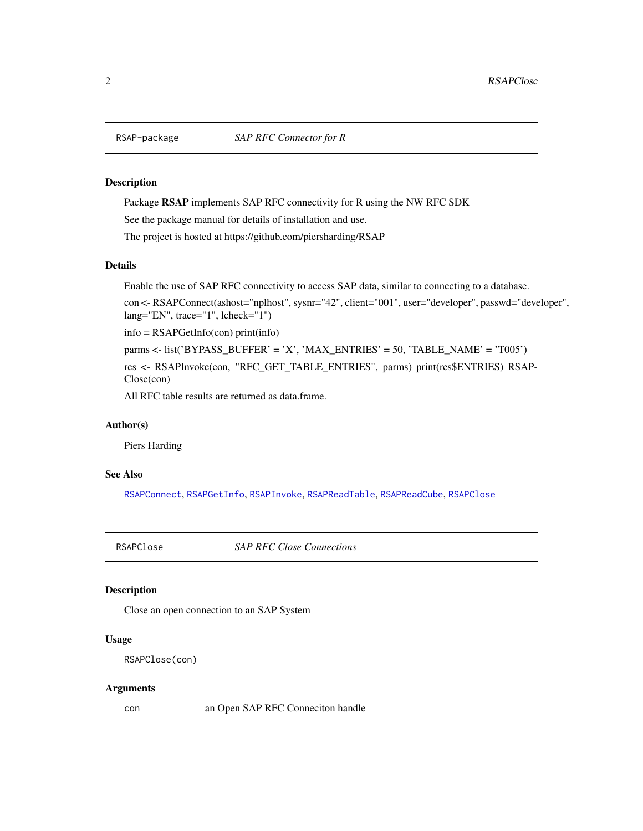<span id="page-1-0"></span>

#### **Description**

Package RSAP implements SAP RFC connectivity for R using the NW RFC SDK

See the package manual for details of installation and use.

The project is hosted at https://github.com/piersharding/RSAP

## Details

Enable the use of SAP RFC connectivity to access SAP data, similar to connecting to a database.

```
con <- RSAPConnect(ashost="nplhost", sysnr="42", client="001", user="developer", passwd="developer",
lang="EN", trace="1", lcheck="1")
```
info = RSAPGetInfo(con) print(info)

parms <- list('BYPASS\_BUFFER' = 'X', 'MAX\_ENTRIES' = 50, 'TABLE\_NAME' = 'T005')

res <- RSAPInvoke(con, "RFC\_GET\_TABLE\_ENTRIES", parms) print(res\$ENTRIES) RSAP-Close(con)

All RFC table results are returned as data.frame.

#### Author(s)

Piers Harding

## See Also

[RSAPConnect](#page-2-1), [RSAPGetInfo](#page-6-1), [RSAPInvoke](#page-7-1), [RSAPReadTable](#page-10-1), [RSAPReadCube](#page-9-1), [RSAPClose](#page-1-1)

<span id="page-1-1"></span>RSAPClose *SAP RFC Close Connections*

#### Description

Close an open connection to an SAP System

#### Usage

```
RSAPClose(con)
```
#### Arguments

con an Open SAP RFC Conneciton handle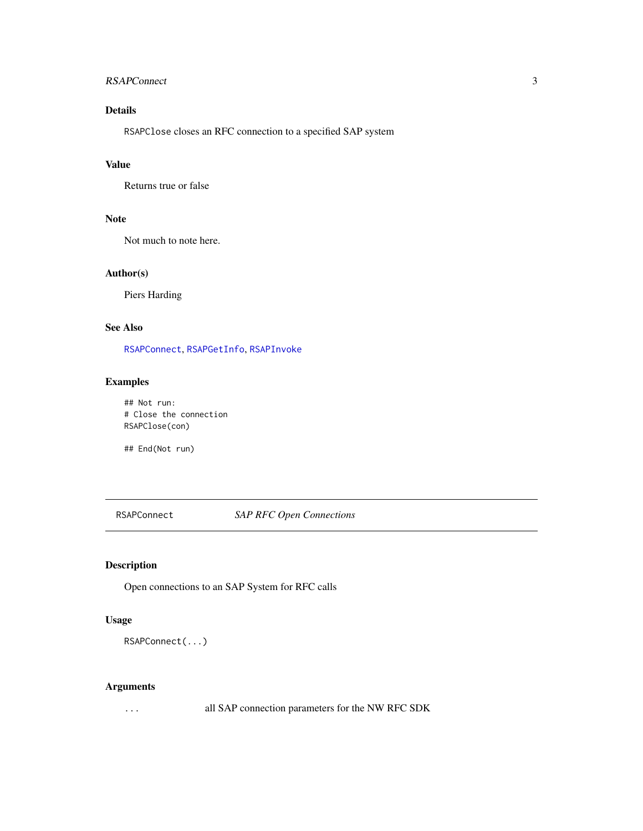## <span id="page-2-0"></span>RSAPConnect 3

## Details

RSAPClose closes an RFC connection to a specified SAP system

## Value

Returns true or false

## Note

Not much to note here.

## Author(s)

Piers Harding

## See Also

[RSAPConnect](#page-2-1), [RSAPGetInfo](#page-6-1), [RSAPInvoke](#page-7-1)

## Examples

## Not run: # Close the connection RSAPClose(con)

## End(Not run)

<span id="page-2-1"></span>RSAPConnect *SAP RFC Open Connections*

## Description

Open connections to an SAP System for RFC calls

## Usage

```
RSAPConnect(...)
```
## Arguments

... all SAP connection parameters for the NW RFC SDK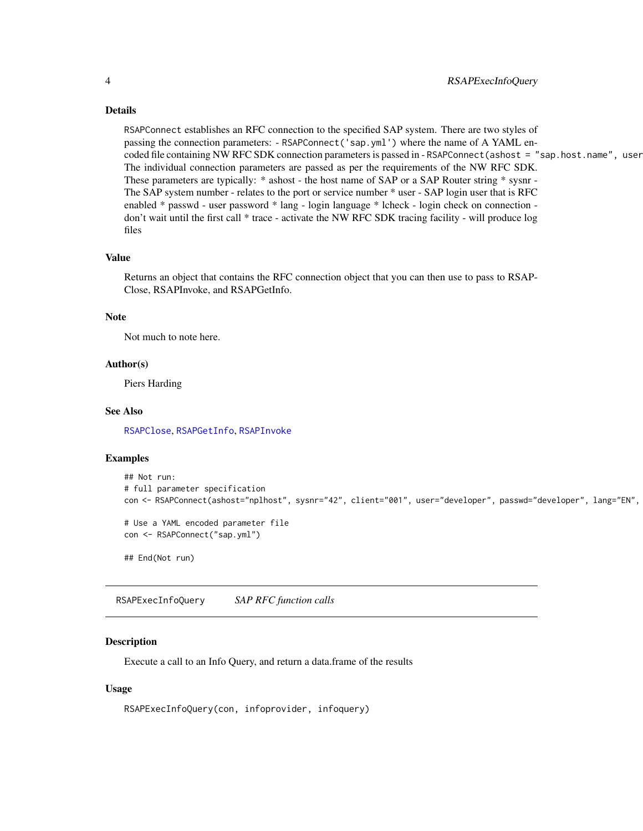#### Details

RSAPConnect establishes an RFC connection to the specified SAP system. There are two styles of passing the connection parameters: - RSAPConnect('sap.yml') where the name of A YAML encoded file containing NW RFC SDK connection parameters is passed in - RSAPConnect (ashost = "sap.host.name", user The individual connection parameters are passed as per the requirements of the NW RFC SDK. These parameters are typically: \* ashost - the host name of SAP or a SAP Router string \* sysnr -The SAP system number - relates to the port or service number \* user - SAP login user that is RFC enabled \* passwd - user password \* lang - login language \* lcheck - login check on connection don't wait until the first call \* trace - activate the NW RFC SDK tracing facility - will produce log files

#### Value

Returns an object that contains the RFC connection object that you can then use to pass to RSAP-Close, RSAPInvoke, and RSAPGetInfo.

### Note

Not much to note here.

#### Author(s)

Piers Harding

#### See Also

[RSAPClose](#page-1-1), [RSAPGetInfo](#page-6-1), [RSAPInvoke](#page-7-1)

#### Examples

```
## Not run:
# full parameter specification
con <- RSAPConnect(ashost="nplhost", sysnr="42", client="001", user="developer", passwd="developer", lang="EN",
# Use a YAML encoded parameter file
con <- RSAPConnect("sap.yml")
## End(Not run)
```
RSAPExecInfoQuery *SAP RFC function calls*

#### Description

Execute a call to an Info Query, and return a data.frame of the results

#### Usage

RSAPExecInfoQuery(con, infoprovider, infoquery)

<span id="page-3-0"></span>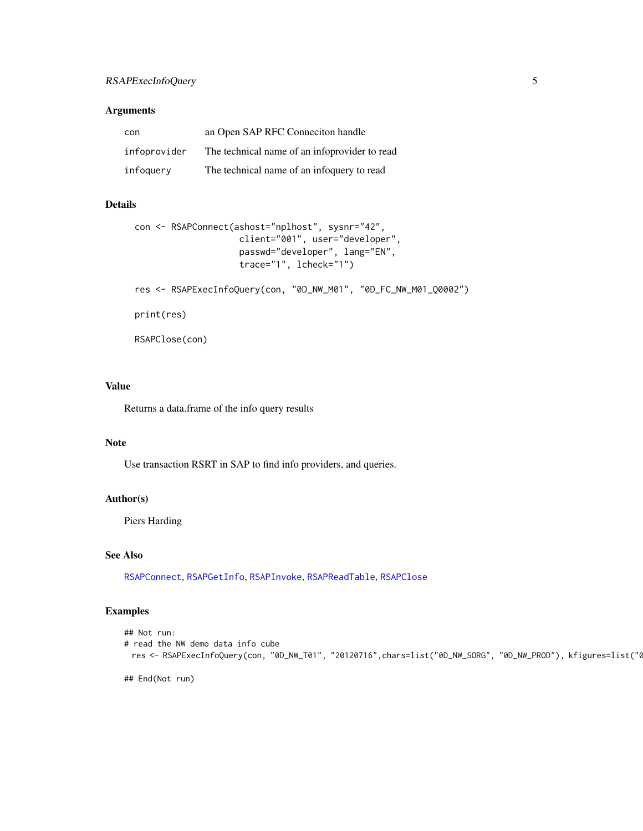## <span id="page-4-0"></span>RSAPExecInfoQuery 5

## Arguments

| con          | an Open SAP RFC Connection handle             |
|--------------|-----------------------------------------------|
| infoprovider | The technical name of an inforpovider to read |
| infoquery    | The technical name of an information to read  |

## Details

```
con <- RSAPConnect(ashost="nplhost", sysnr="42",
                    client="001", user="developer",
                    passwd="developer", lang="EN",
                    trace="1", lcheck="1")
res <- RSAPExecInfoQuery(con, "0D_NW_M01", "0D_FC_NW_M01_Q0002")
print(res)
RSAPClose(con)
```
## Value

Returns a data.frame of the info query results

#### Note

Use transaction RSRT in SAP to find info providers, and queries.

#### Author(s)

Piers Harding

#### See Also

[RSAPConnect](#page-2-1), [RSAPGetInfo](#page-6-1), [RSAPInvoke](#page-7-1), [RSAPReadTable](#page-10-1), [RSAPClose](#page-1-1)

## Examples

```
## Not run:
# read the NW demo data info cube
 res <- RSAPExecInfoQuery(con, "0D_NW_T01", "20120716",chars=list("0D_NW_SORG", "0D_NW_PROD"), kfigures=list("6
```
## End(Not run)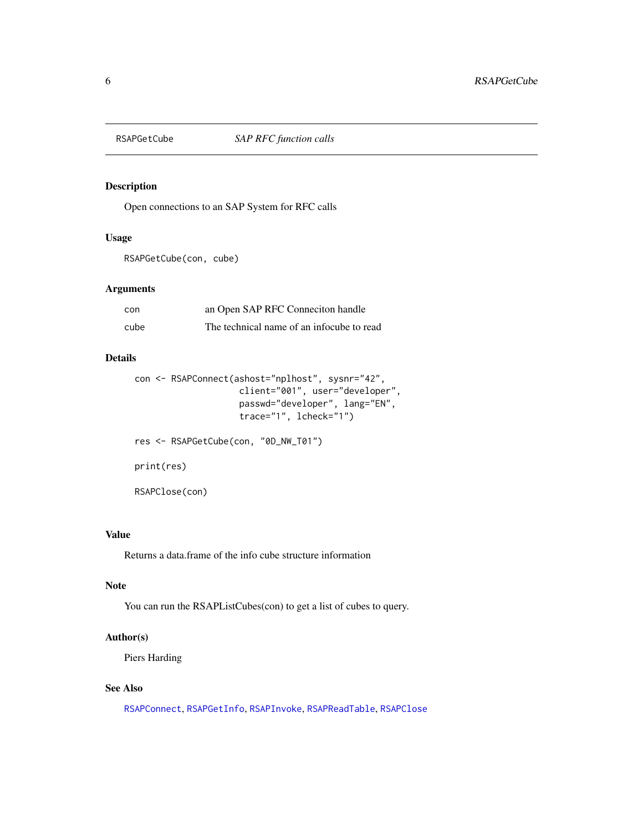<span id="page-5-0"></span>

## Description

Open connections to an SAP System for RFC calls

## Usage

RSAPGetCube(con, cube)

## Arguments

| con  | an Open SAP RFC Connection handle         |
|------|-------------------------------------------|
| cube | The technical name of an infocube to read |

## Details

```
con <- RSAPConnect(ashost="nplhost", sysnr="42",
                    client="001", user="developer",
                    passwd="developer", lang="EN",
                    trace="1", lcheck="1")
```
res <- RSAPGetCube(con, "0D\_NW\_T01") print(res) RSAPClose(con)

#### Value

Returns a data.frame of the info cube structure information

## Note

You can run the RSAPListCubes(con) to get a list of cubes to query.

## Author(s)

Piers Harding

## See Also

[RSAPConnect](#page-2-1), [RSAPGetInfo](#page-6-1), [RSAPInvoke](#page-7-1), [RSAPReadTable](#page-10-1), [RSAPClose](#page-1-1)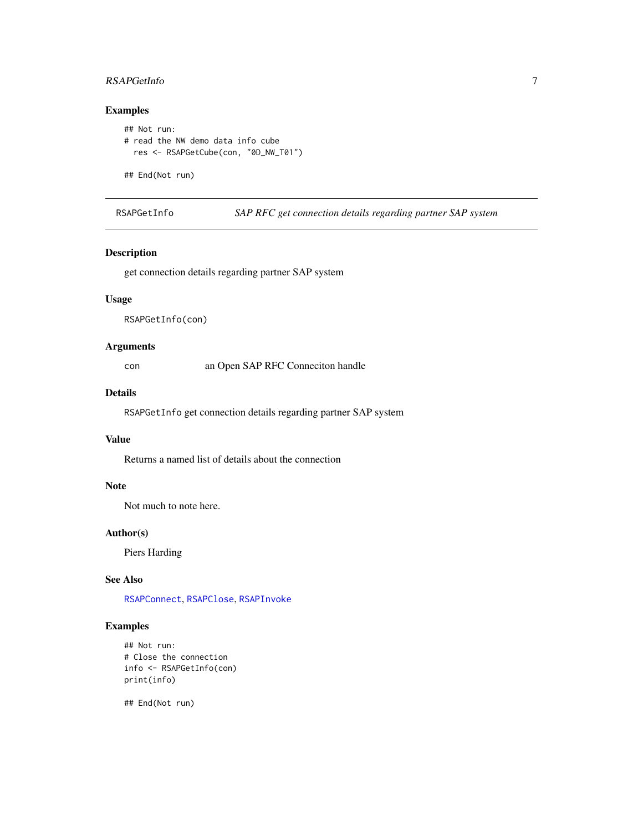## <span id="page-6-0"></span>RSAPGetInfo 7

## Examples

```
## Not run:
# read the NW demo data info cube
  res <- RSAPGetCube(con, "0D_NW_T01")
```
## End(Not run)

<span id="page-6-1"></span>RSAPGetInfo *SAP RFC get connection details regarding partner SAP system*

## Description

get connection details regarding partner SAP system

## Usage

RSAPGetInfo(con)

## Arguments

con an Open SAP RFC Conneciton handle

#### Details

RSAPGetInfo get connection details regarding partner SAP system

## Value

Returns a named list of details about the connection

## Note

Not much to note here.

## Author(s)

Piers Harding

## See Also

[RSAPConnect](#page-2-1), [RSAPClose](#page-1-1), [RSAPInvoke](#page-7-1)

## Examples

```
## Not run:
# Close the connection
info <- RSAPGetInfo(con)
print(info)
```
## End(Not run)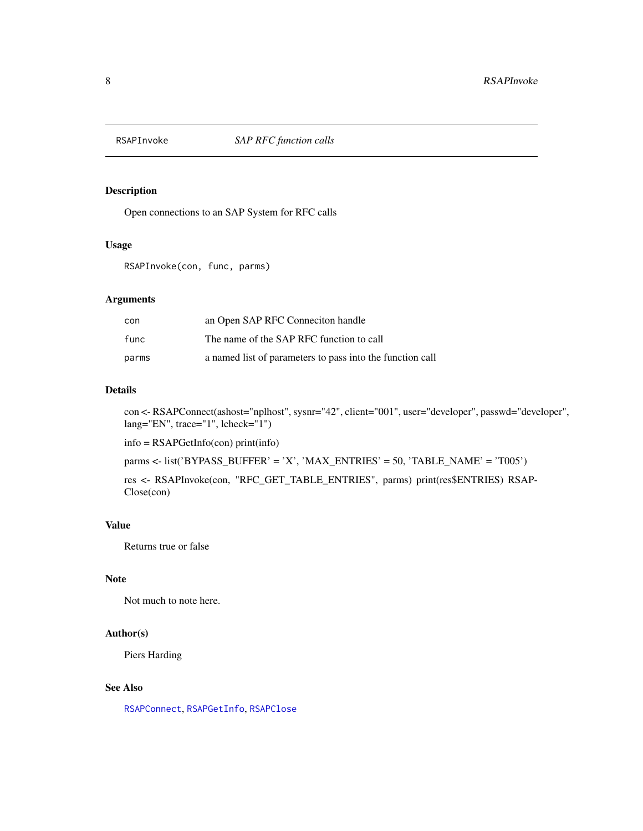<span id="page-7-1"></span><span id="page-7-0"></span>

## Description

Open connections to an SAP System for RFC calls

#### Usage

RSAPInvoke(con, func, parms)

#### Arguments

| con   | an Open SAP RFC Connection handle                         |
|-------|-----------------------------------------------------------|
| func  | The name of the SAP RFC function to call                  |
| parms | a named list of parameters to pass into the function call |

#### Details

con <- RSAPConnect(ashost="nplhost", sysnr="42", client="001", user="developer", passwd="developer", lang="EN", trace="1", lcheck="1")

info = RSAPGetInfo(con) print(info)

parms <- list('BYPASS\_BUFFER' = 'X', 'MAX\_ENTRIES' = 50, 'TABLE\_NAME' = 'T005')

res <- RSAPInvoke(con, "RFC\_GET\_TABLE\_ENTRIES", parms) print(res\$ENTRIES) RSAP-Close(con)

## Value

Returns true or false

## Note

Not much to note here.

#### Author(s)

Piers Harding

## See Also

[RSAPConnect](#page-2-1), [RSAPGetInfo](#page-6-1), [RSAPClose](#page-1-1)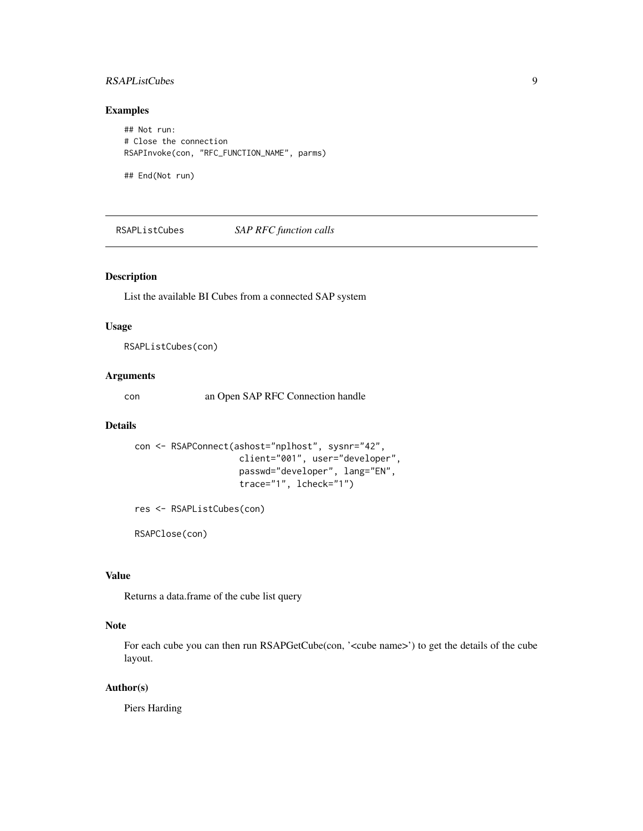## <span id="page-8-0"></span>RSAPListCubes 9

## Examples

## Not run: # Close the connection RSAPInvoke(con, "RFC\_FUNCTION\_NAME", parms)

## End(Not run)

RSAPListCubes *SAP RFC function calls*

## Description

List the available BI Cubes from a connected SAP system

#### Usage

RSAPListCubes(con)

## Arguments

con an Open SAP RFC Connection handle

#### Details

```
con <- RSAPConnect(ashost="nplhost", sysnr="42",
                    client="001", user="developer",
                    passwd="developer", lang="EN",
                    trace="1", lcheck="1")
```
res <- RSAPListCubes(con)

RSAPClose(con)

#### Value

Returns a data.frame of the cube list query

## Note

For each cube you can then run RSAPGetCube(con, '<cube name>') to get the details of the cube layout.

#### Author(s)

Piers Harding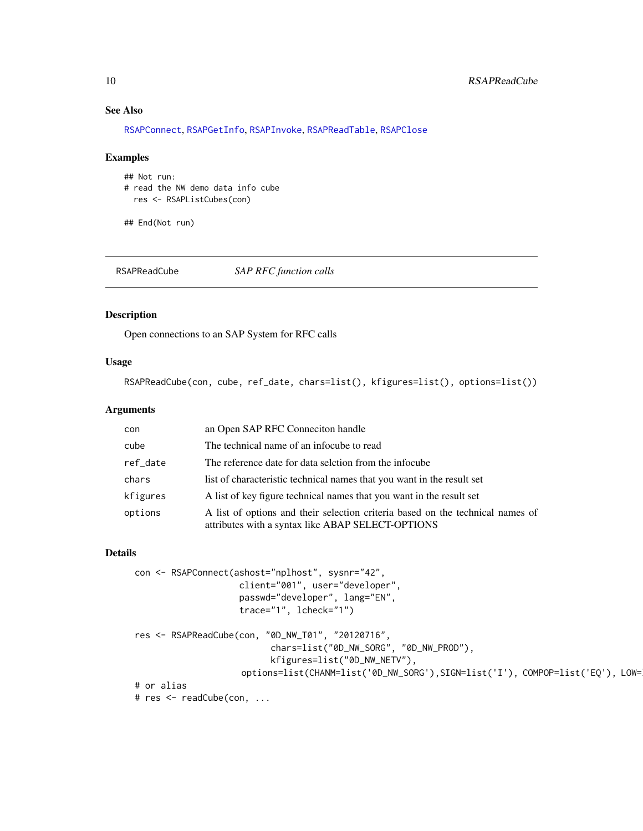## See Also

[RSAPConnect](#page-2-1), [RSAPGetInfo](#page-6-1), [RSAPInvoke](#page-7-1), [RSAPReadTable](#page-10-1), [RSAPClose](#page-1-1)

#### Examples

```
## Not run:
# read the NW demo data info cube
 res <- RSAPListCubes(con)
```
## End(Not run)

<span id="page-9-1"></span>RSAPReadCube *SAP RFC function calls*

#### Description

Open connections to an SAP System for RFC calls

## Usage

RSAPReadCube(con, cube, ref\_date, chars=list(), kfigures=list(), options=list())

## Arguments

| con      | an Open SAP RFC Connection handle                                                                                                   |
|----------|-------------------------------------------------------------------------------------------------------------------------------------|
| cube     | The technical name of an infocube to read                                                                                           |
| ref_date | The reference date for data selction from the infocube                                                                              |
| chars    | list of characteristic technical names that you want in the result set                                                              |
| kfigures | A list of key figure technical names that you want in the result set                                                                |
| options  | A list of options and their selection criteria based on the technical names of<br>attributes with a syntax like ABAP SELECT-OPTIONS |

#### Details

```
con <- RSAPConnect(ashost="nplhost", sysnr="42",
                    client="001", user="developer",
                    passwd="developer", lang="EN",
                     trace="1", lcheck="1")
res <- RSAPReadCube(con, "0D_NW_T01", "20120716",
                           chars=list("0D_NW_SORG", "0D_NW_PROD"),
                           kfigures=list("0D_NW_NETV"),
                     options=list(CHANM=list('0D_NW_SORG'),SIGN=list('I'), COMPOP=list('EQ'), LOW=list('1514')))
# or alias
```
# res <- readCube(con, ...

<span id="page-9-0"></span>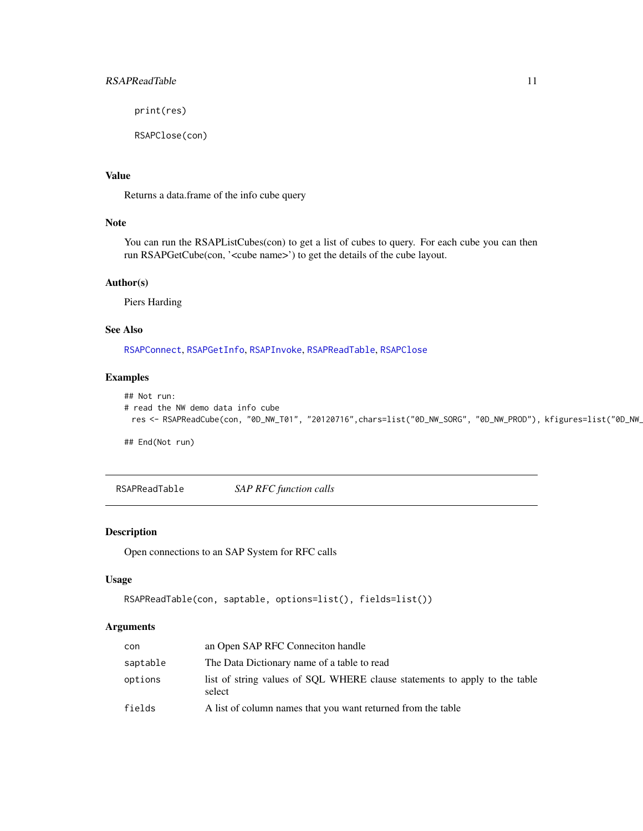<span id="page-10-0"></span>print(res)

RSAPClose(con)

## Value

Returns a data.frame of the info cube query

#### Note

You can run the RSAPListCubes(con) to get a list of cubes to query. For each cube you can then run RSAPGetCube(con, '<cube name>') to get the details of the cube layout.

## Author(s)

Piers Harding

## See Also

[RSAPConnect](#page-2-1), [RSAPGetInfo](#page-6-1), [RSAPInvoke](#page-7-1), [RSAPReadTable](#page-10-1), [RSAPClose](#page-1-1)

## Examples

```
## Not run:
# read the NW demo data info cube
 res <- RSAPReadCube(con, "0D_NW_T01", "20120716",chars=list("0D_NW_SORG", "0D_NW_PROD"), kfigures=list("0D_NW_
```
## End(Not run)

<span id="page-10-1"></span>RSAPReadTable *SAP RFC function calls*

## Description

Open connections to an SAP System for RFC calls

## Usage

```
RSAPReadTable(con, saptable, options=list(), fields=list())
```
## Arguments

| con      | an Open SAP RFC Connection handle                                                    |
|----------|--------------------------------------------------------------------------------------|
| saptable | The Data Dictionary name of a table to read                                          |
| options  | list of string values of SQL WHERE clause statements to apply to the table<br>select |
| fields   | A list of column names that you want returned from the table                         |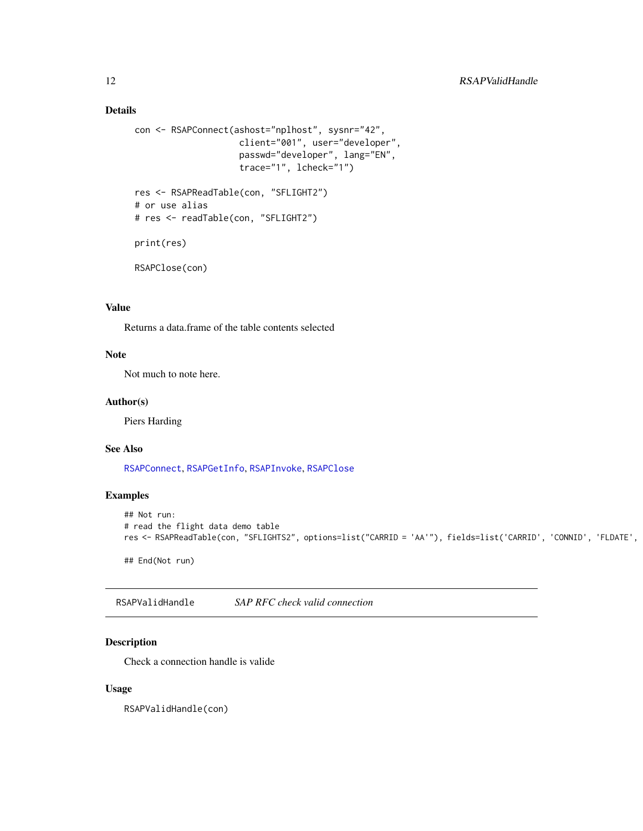## Details

```
con <- RSAPConnect(ashost="nplhost", sysnr="42",
                    client="001", user="developer",
                    passwd="developer", lang="EN",
                    trace="1", lcheck="1")
res <- RSAPReadTable(con, "SFLIGHT2")
# or use alias
# res <- readTable(con, "SFLIGHT2")
print(res)
RSAPClose(con)
```
## Value

Returns a data.frame of the table contents selected

#### Note

Not much to note here.

#### Author(s)

Piers Harding

#### See Also

[RSAPConnect](#page-2-1), [RSAPGetInfo](#page-6-1), [RSAPInvoke](#page-7-1), [RSAPClose](#page-1-1)

## Examples

```
## Not run:
# read the flight data demo table
res <- RSAPReadTable(con, "SFLIGHTS2", options=list("CARRID = 'AA'"), fields=list('CARRID', 'CONNID', 'FLDATE',
## End(Not run)
```
RSAPValidHandle *SAP RFC check valid connection*

## Description

Check a connection handle is valide

#### Usage

RSAPValidHandle(con)

<span id="page-11-0"></span>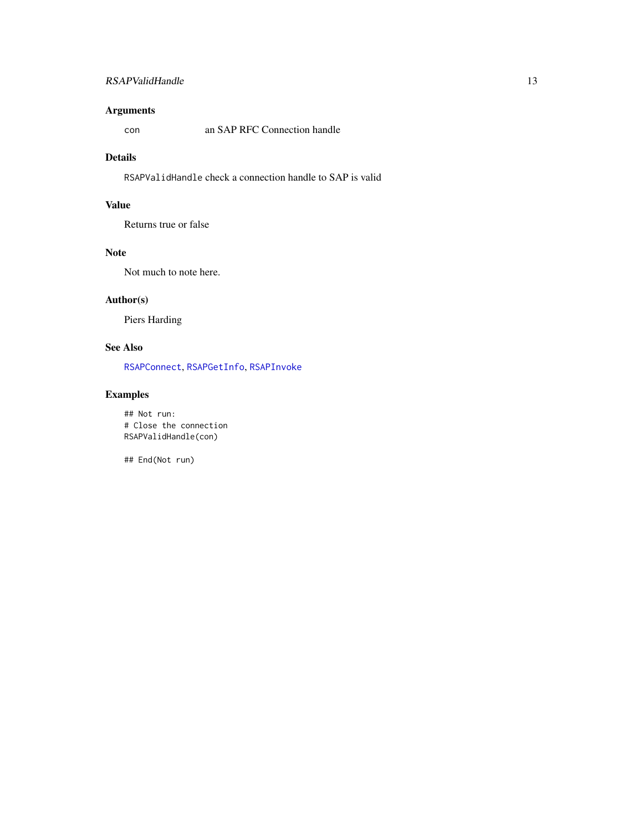## <span id="page-12-0"></span>RSAPValidHandle 13

## Arguments

con an SAP RFC Connection handle

#### Details

RSAPValidHandle check a connection handle to SAP is valid

## Value

Returns true or false

### Note

Not much to note here.

## Author(s)

Piers Harding

## See Also

[RSAPConnect](#page-2-1), [RSAPGetInfo](#page-6-1), [RSAPInvoke](#page-7-1)

## Examples

## Not run: # Close the connection RSAPValidHandle(con)

## End(Not run)